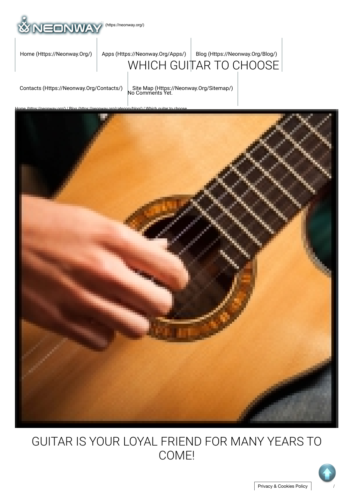

# [WHICH GUI](https://neonway.org/apps/)[TAR TO CHOOSE](https://neonway.org/blog/) [Home \(Https://Neonway.Org/\)](https://neonway.org/) | Apps (Https://Neonway.Org/Apps/) | Blog (Https://Neonway.Org/Blog/)

[Contacts \(Https://Neonway.Org/Contacts/\)](https://neonway.org/contacts/) | [Site Map \(Https://Neonway.Org/Sitemap/\)](https://neonway.org/sitemap/)<br>No Comments Yet.



# GUITAR IS YOUR LOYAL FRIEND FOR MANY YEARS TO COME!

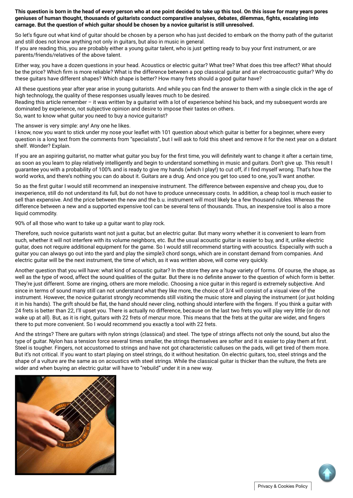**This question is born in the head of every person who at one point decided to take up this tool. On this issue for many years pores geniuses of human thought, thousands of guitarists conduct comparative analyses, debates, dilemmas, ghts, escalating into carnage. But the question of which guitar should be chosen by a novice guitarist is still unresolved.**

So let's figure out what kind of guitar should be chosen by a person who has just decided to embark on the thorny path of the guitarist and still does not know anything not only in guitars, but also in music in general.

If you are reading this, you are probably either a young quitar talent, who is just getting ready to buy your first instrument, or are parents/friends/relatives of the above talent.

Either way, you have a dozen questions in your head. Acoustics or electric guitar? What tree? What does this tree affect? What should be the price? Which firm is more reliable? What is the difference between a pop classical guitar and an electroacoustic guitar? Why do these guitars have different shapes? Which shape is better? How many frets should a good guitar have?

All these questions year after year arise in young quitarists. And while you can find the answer to them with a single click in the age of high technology, the quality of these responses usually leaves much to be desired.

Reading this article remember – it was written by a guitarist with a lot of experience behind his back, and my subsequent words are dominated by experience, not subjective opinion and desire to impose their tastes on others. So, want to know what guitar you need to buy a novice guitarist?

The answer is very simple: any! Any one he likes.

I know, now you want to stick under my nose your leaflet with 101 question about which quitar is better for a beginner, where every question is a long text from the comments from "specialists", but I will ask to fold this sheet and remove it for the next year on a distant shelf. Wonder? Explain.

If you are an aspiring guitarist, no matter what guitar you buy for the first time, you will definitely want to change it after a certain time, as soon as you learn to play relatively intelligently and begin to understand something in music and guitars. Don't give up. This result I guarantee you with a probability of 100% and is ready to give my hands (which I play!) to cut off, if I find myself wrong. That's how the world works, and there's nothing you can do about it. Guitars are a drug. And once you get too used to one, you'll want another.

So as the first guitar I would still recommend an inexpensive instrument. The difference between expensive and cheap you, due to inexperience, still do not understand its full, but do not have to produce unnecessary costs. In addition, a cheap tool is much easier to sell than expensive. And the price between the new and the b.u. instrument will most likely be a few thousand rubles. Whereas the difference between a new and a supported expensive tool can be several tens of thousands. Thus, an inexpensive tool is also a more liquid commodity.

90% of all those who want to take up a guitar want to play rock.

Therefore, such novice guitarists want not just a guitar, but an electric guitar. But many worry whether it is convenient to learn from such, whether it will not interfere with its volume neighbors, etc. But the usual acoustic guitar is easier to buy, and it, unlike electric guitar, does not require additional equipment for the game. So I would still recommend starting with acoustics. Especially with such a guitar you can always go out into the yard and play the simple3 chord songs, which are in constant demand from companies. And electric guitar will be the next instrument, the time of which, as it was written above, will come very quickly.

Another question that you will have: what kind of acoustic guitar? In the store they are a huge variety of forms. Of course, the shape, as well as the type of wood, affect the sound qualities of the quitar. But there is no definite answer to the question of which form is better. They're just different. Some are ringing, others are more melodic. Choosing a nice guitar in this regard is extremely subjective. And since in terms of sound many still can not understand what they like more, the choice of 3/4 will consist of a visual view of the instrument. However, the novice guitarist strongly recommends still visiting the music store and playing the instrument (or just holding it in his hands). The grift should be flat, the hand should never cling, nothing should interfere with the fingers. If you think a quitar with 24 frets is better than 22, I'll upset you. There is actually no difference, because on the last two frets you will play very little (or do not wake up at all). But, as it is right, guitars with 22 frets of menzur more. This means that the frets at the guitar are wider, and fingers there to put more convenient. So I would recommend you exactly a tool with 22 frets.

And the strings? There are guitars with nylon strings (classical) and steel. The type of strings affects not only the sound, but also the type of guitar. Nylon has a tension force several times smaller, the strings themselves are softer and it is easier to play them at first. Steel is tougher. Fingers, not accustomed to strings and have not got characteristic calluses on the pads, will get tired of them more. But it's not critical. If you want to start playing on steel strings, do it without hesitation. On electric guitars, too, steel strings and the shape of a vulture are the same as on acoustics with steel strings. While the classical guitar is thicker than the vulture, the frets are wider and when buying an electric guitar will have to "rebuild" under it in a new way.